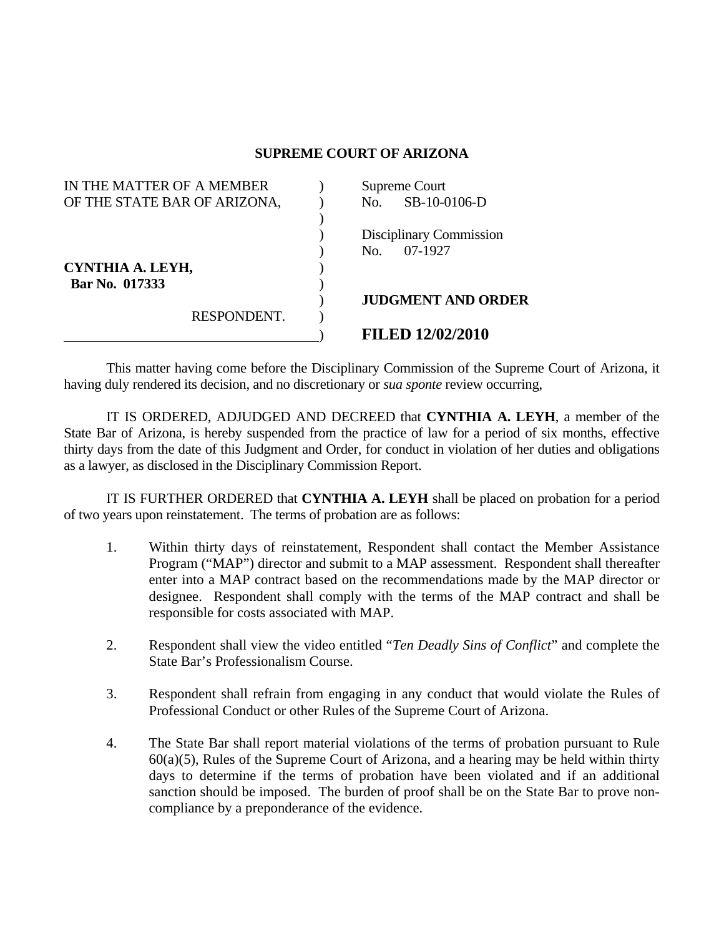## **SUPREME COURT OF ARIZONA**

| IN THE MATTER OF A MEMBER    | Supreme Court           |                           |
|------------------------------|-------------------------|---------------------------|
| OF THE STATE BAR OF ARIZONA, | No.                     | SB-10-0106-D              |
|                              |                         |                           |
|                              | Disciplinary Commission |                           |
|                              | 07-1927<br>No.          |                           |
| CYNTHIA A. LEYH,             |                         |                           |
| Bar No. 017333               |                         |                           |
|                              |                         | <b>JUDGMENT AND ORDER</b> |
| RESPONDENT.                  |                         |                           |
|                              | <b>FILED 12/02/2010</b> |                           |

 This matter having come before the Disciplinary Commission of the Supreme Court of Arizona, it having duly rendered its decision, and no discretionary or *sua sponte* review occurring,

 IT IS ORDERED, ADJUDGED AND DECREED that **CYNTHIA A. LEYH**, a member of the State Bar of Arizona, is hereby suspended from the practice of law for a period of six months, effective thirty days from the date of this Judgment and Order, for conduct in violation of her duties and obligations as a lawyer, as disclosed in the Disciplinary Commission Report.

 IT IS FURTHER ORDERED that **CYNTHIA A. LEYH** shall be placed on probation for a period of two years upon reinstatement. The terms of probation are as follows:

- 1. Within thirty days of reinstatement, Respondent shall contact the Member Assistance Program ("MAP") director and submit to a MAP assessment. Respondent shall thereafter enter into a MAP contract based on the recommendations made by the MAP director or designee. Respondent shall comply with the terms of the MAP contract and shall be responsible for costs associated with MAP.
- 2. Respondent shall view the video entitled "*Ten Deadly Sins of Conflict*" and complete the State Bar's Professionalism Course.
- 3. Respondent shall refrain from engaging in any conduct that would violate the Rules of Professional Conduct or other Rules of the Supreme Court of Arizona.
- 4. The State Bar shall report material violations of the terms of probation pursuant to Rule  $60(a)(5)$ , Rules of the Supreme Court of Arizona, and a hearing may be held within thirty days to determine if the terms of probation have been violated and if an additional sanction should be imposed. The burden of proof shall be on the State Bar to prove noncompliance by a preponderance of the evidence.